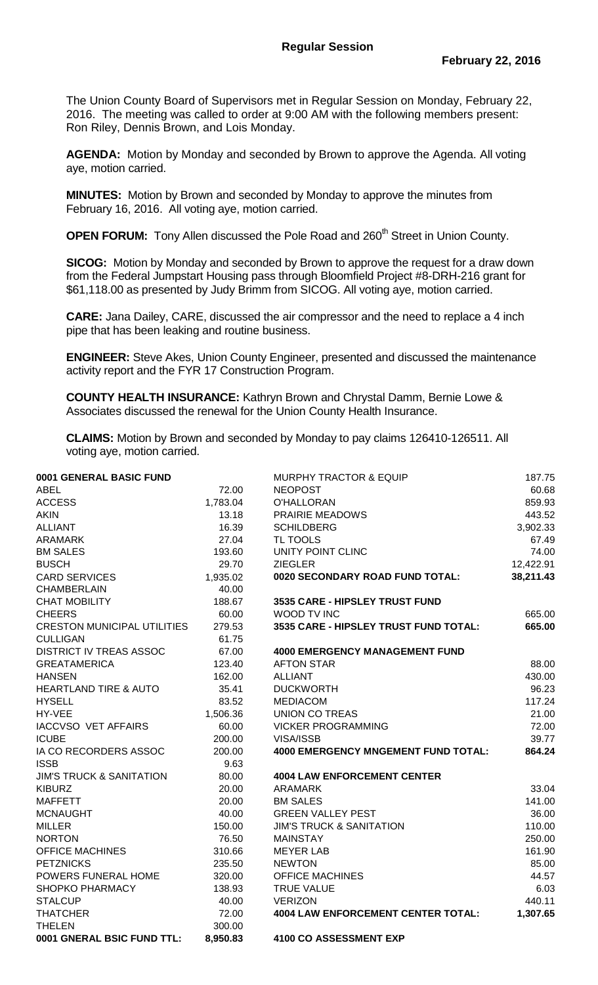The Union County Board of Supervisors met in Regular Session on Monday, February 22, 2016. The meeting was called to order at 9:00 AM with the following members present: Ron Riley, Dennis Brown, and Lois Monday.

**AGENDA:** Motion by Monday and seconded by Brown to approve the Agenda. All voting aye, motion carried.

**MINUTES:** Motion by Brown and seconded by Monday to approve the minutes from February 16, 2016. All voting aye, motion carried.

**OPEN FORUM:** Tony Allen discussed the Pole Road and 260<sup>th</sup> Street in Union County.

**SICOG:** Motion by Monday and seconded by Brown to approve the request for a draw down from the Federal Jumpstart Housing pass through Bloomfield Project #8-DRH-216 grant for \$61,118.00 as presented by Judy Brimm from SICOG. All voting aye, motion carried.

**CARE:** Jana Dailey, CARE, discussed the air compressor and the need to replace a 4 inch pipe that has been leaking and routine business.

**ENGINEER:** Steve Akes, Union County Engineer, presented and discussed the maintenance activity report and the FYR 17 Construction Program.

**COUNTY HEALTH INSURANCE:** Kathryn Brown and Chrystal Damm, Bernie Lowe & Associates discussed the renewal for the Union County Health Insurance.

**CLAIMS:** Motion by Brown and seconded by Monday to pay claims 126410-126511. All voting aye, motion carried.

| 0001 GENERAL BASIC FUND             |          | <b>MURPHY TRACTOR &amp; EQUIP</b>          | 187.75    |
|-------------------------------------|----------|--------------------------------------------|-----------|
| <b>ABEL</b>                         | 72.00    | <b>NEOPOST</b>                             | 60.68     |
| <b>ACCESS</b>                       | 1,783.04 | O'HALLORAN                                 | 859.93    |
| <b>AKIN</b>                         | 13.18    | PRAIRIE MEADOWS                            | 443.52    |
| <b>ALLIANT</b>                      | 16.39    | <b>SCHILDBERG</b>                          | 3,902.33  |
| <b>ARAMARK</b>                      | 27.04    | TL TOOLS                                   | 67.49     |
| <b>BM SALES</b>                     | 193.60   | UNITY POINT CLINC                          | 74.00     |
| <b>BUSCH</b>                        | 29.70    | <b>ZIEGLER</b>                             | 12,422.91 |
| <b>CARD SERVICES</b>                | 1,935.02 | 0020 SECONDARY ROAD FUND TOTAL:            | 38,211.43 |
| <b>CHAMBERLAIN</b>                  | 40.00    |                                            |           |
| <b>CHAT MOBILITY</b>                | 188.67   | 3535 CARE - HIPSLEY TRUST FUND             |           |
| <b>CHEERS</b>                       | 60.00    | WOOD TV INC                                | 665.00    |
| <b>CRESTON MUNICIPAL UTILITIES</b>  | 279.53   | 3535 CARE - HIPSLEY TRUST FUND TOTAL:      | 665.00    |
| <b>CULLIGAN</b>                     | 61.75    |                                            |           |
| <b>DISTRICT IV TREAS ASSOC</b>      | 67.00    | <b>4000 EMERGENCY MANAGEMENT FUND</b>      |           |
| <b>GREATAMERICA</b>                 | 123.40   | <b>AFTON STAR</b>                          | 88.00     |
| <b>HANSEN</b>                       | 162.00   | <b>ALLIANT</b>                             | 430.00    |
| <b>HEARTLAND TIRE &amp; AUTO</b>    | 35.41    | <b>DUCKWORTH</b>                           | 96.23     |
| <b>HYSELL</b>                       | 83.52    | <b>MEDIACOM</b>                            | 117.24    |
| HY-VEE                              | 1,506.36 | <b>UNION CO TREAS</b>                      | 21.00     |
| <b>IACCVSO VET AFFAIRS</b>          | 60.00    | <b>VICKER PROGRAMMING</b>                  | 72.00     |
| <b>ICUBE</b>                        | 200.00   | VISA/ISSB                                  | 39.77     |
| IA CO RECORDERS ASSOC               | 200.00   | <b>4000 EMERGENCY MNGEMENT FUND TOTAL:</b> | 864.24    |
| <b>ISSB</b>                         | 9.63     |                                            |           |
| <b>JIM'S TRUCK &amp; SANITATION</b> | 80.00    | <b>4004 LAW ENFORCEMENT CENTER</b>         |           |
| <b>KIBURZ</b>                       | 20.00    | <b>ARAMARK</b>                             | 33.04     |
| <b>MAFFETT</b>                      | 20.00    | <b>BM SALES</b>                            | 141.00    |
| <b>MCNAUGHT</b>                     | 40.00    | <b>GREEN VALLEY PEST</b>                   | 36.00     |
| <b>MILLER</b>                       | 150.00   | <b>JIM'S TRUCK &amp; SANITATION</b>        | 110.00    |
| <b>NORTON</b>                       | 76.50    | <b>MAINSTAY</b>                            | 250.00    |
| <b>OFFICE MACHINES</b>              | 310.66   | <b>MEYER LAB</b>                           | 161.90    |
| <b>PETZNICKS</b>                    | 235.50   | <b>NEWTON</b>                              | 85.00     |
| POWERS FUNERAL HOME                 | 320.00   | <b>OFFICE MACHINES</b>                     | 44.57     |
| SHOPKO PHARMACY                     | 138.93   | <b>TRUE VALUE</b>                          | 6.03      |
| <b>STALCUP</b>                      | 40.00    | <b>VERIZON</b>                             | 440.11    |
| <b>THATCHER</b>                     | 72.00    | <b>4004 LAW ENFORCEMENT CENTER TOTAL:</b>  | 1,307.65  |
| <b>THELEN</b>                       | 300.00   |                                            |           |
| 0001 GNERAL BSIC FUND TTL:          | 8,950.83 | 4100 CO ASSESSMENT EXP                     |           |